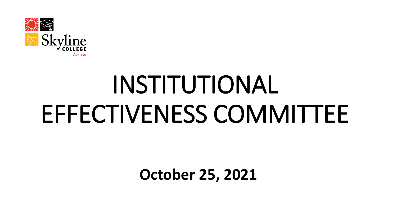

# INSTITUTIONAL EFFECTIVENESS COMMITTEE

**October 25, 2021**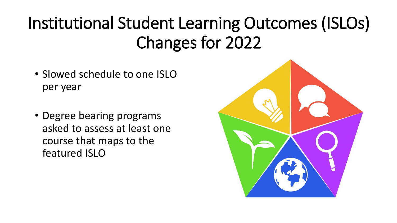## Institutional Student Learning Outcomes (ISLOs) Changes for 2022

- Slowed schedule to one ISLO per year
- Degree bearing programs asked to assess at least one course that maps to the featured ISLO

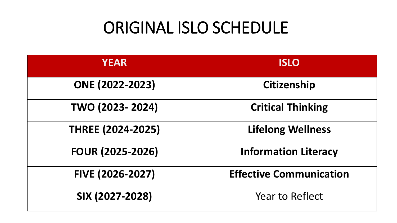#### ORIGINAL ISLO SCHEDULE

| <b>YEAR</b>              | <b>ISLO</b>                    |
|--------------------------|--------------------------------|
| <b>ONE (2022-2023)</b>   | <b>Citizenship</b>             |
| TWO (2023-2024)          | <b>Critical Thinking</b>       |
| <b>THREE (2024-2025)</b> | <b>Lifelong Wellness</b>       |
| <b>FOUR (2025-2026)</b>  | <b>Information Literacy</b>    |
| FIVE (2026-2027)         | <b>Effective Communication</b> |
| SIX (2027-2028)          | <b>Year to Reflect</b>         |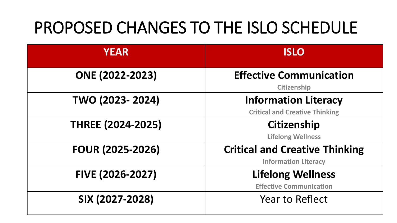#### PROPOSED CHANGES TO THE ISLO SCHEDULE

| <b>YEAR</b>              | <b>ISLO</b>                                                          |
|--------------------------|----------------------------------------------------------------------|
| <b>ONE (2022-2023)</b>   | <b>Effective Communication</b><br><b>Citizenship</b>                 |
| TWO (2023-2024)          | <b>Information Literacy</b><br><b>Critical and Creative Thinking</b> |
| <b>THREE (2024-2025)</b> | <b>Citizenship</b><br><b>Lifelong Wellness</b>                       |
| <b>FOUR (2025-2026)</b>  | <b>Critical and Creative Thinking</b><br><b>Information Literacy</b> |
| FIVE (2026-2027)         | <b>Lifelong Wellness</b><br><b>Effective Communication</b>           |
| SIX (2027-2028)          | <b>Year to Reflect</b>                                               |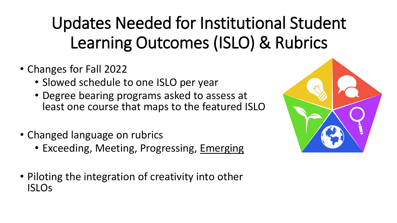## Updates Needed for Institutional Student Learning Outcomes (ISLO) & Rubrics

- Changes for Fall 2022
	- Slowed schedule to one ISLO per year
	- Degree bearing programs asked to assess at least one course that maps to the featured ISLO
- Changed language on rubrics
	- Exceeding, Meeting, Progressing, Emerging
- Piloting the integration of creativity into other ISLOs